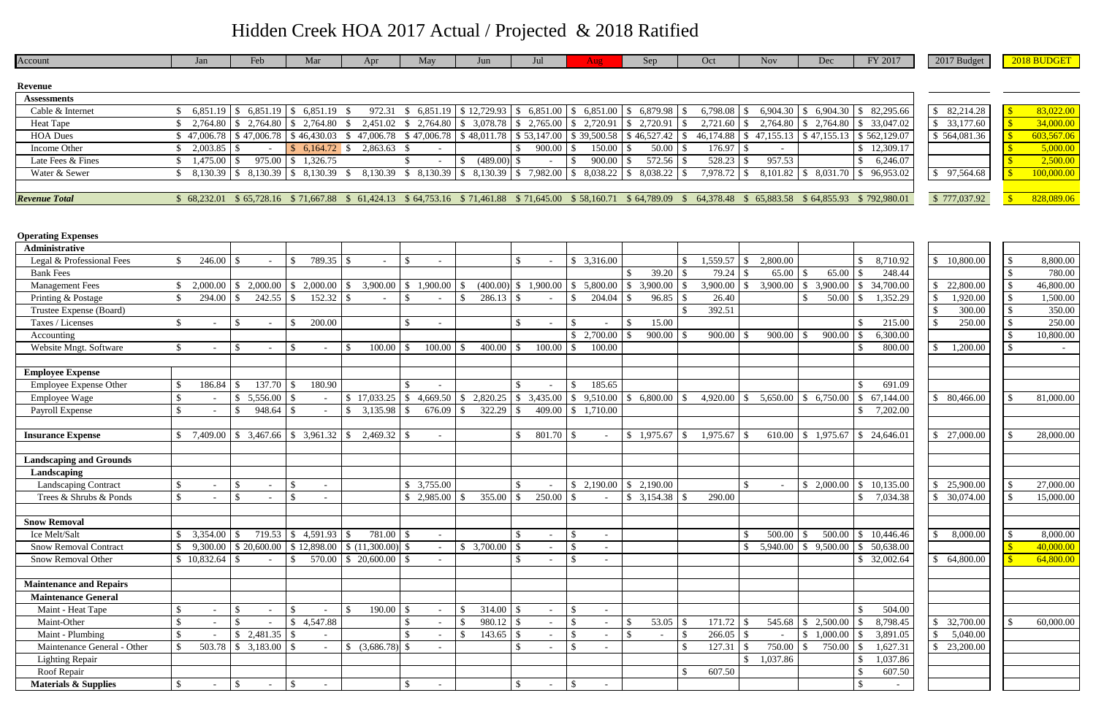| Account                         | Jan                       | Feb                                                      | Mar                           | Apr                                                                                             | May                             | Jun                                              | Jul                              | Aug                                            | Sep                         | Oct               | <b>Nov</b>                       | Dec                        | FY 2017                                  | 2017 Budget                 | 2018 BUDGET                |
|---------------------------------|---------------------------|----------------------------------------------------------|-------------------------------|-------------------------------------------------------------------------------------------------|---------------------------------|--------------------------------------------------|----------------------------------|------------------------------------------------|-----------------------------|-------------------|----------------------------------|----------------------------|------------------------------------------|-----------------------------|----------------------------|
|                                 |                           |                                                          |                               |                                                                                                 |                                 |                                                  |                                  |                                                |                             |                   |                                  |                            |                                          |                             |                            |
| <b>Revenue</b>                  |                           |                                                          |                               |                                                                                                 |                                 |                                                  |                                  |                                                |                             |                   |                                  |                            |                                          |                             |                            |
| <b>Assessments</b>              |                           |                                                          |                               |                                                                                                 |                                 |                                                  |                                  |                                                |                             |                   |                                  |                            |                                          |                             |                            |
| Cable & Internet                | 6,851.19<br><sup>\$</sup> | \$6,851.19                                               | $6,851.19$ \$<br><sup>S</sup> | 972.31                                                                                          | 6,851.19<br><sup>S</sup>        | $\vert$ \$ 12,729.93   \$ 6,851.00   \$ 6,851.00 |                                  |                                                | \$6,879.98                  | 6,798.08<br>IS.   | 6,904.30<br><sup>S</sup>         | 6,904.30<br>l \$           | 82,295.66<br>$\mathcal{S}$               | \$82,214.28                 | 83,022.00<br>$\mathcal{S}$ |
| <b>Heat Tape</b>                | 2,764.80                  | \$2,764.80                                               | $$2,764.80$ \, \$             | 2,451.02                                                                                        | \$2,764.80                      |                                                  |                                  | $$3,078.78 \mid $2,765.00 \mid $2,720.91$      | 2,720.91<br>IS.             | 2,721.60          | $2,764.80$ \$                    | 2,764.80                   | 33,047.02<br>-S                          | \$33,177.60                 | 34,000.00                  |
| <b>HOA Dues</b>                 | \$47,006.78               | \$47,006.78                                              | \$46,430.03                   | 47,006.78<br><sup>S</sup>                                                                       | \$47,006.78                     |                                                  |                                  | $$48,011.78 \mid $53,147.00 \mid $39,500.58]$  | $\overline{\$46,527.42}$    | 46,174.88<br>- \$ | 47,155.13<br><sup>\$</sup>       | \$47,155.13                | \$562,129.07                             | \$564,081.36                | 603,567.06                 |
| Income Other                    | 2,003.85                  | -8                                                       | $6,164.72$ \$<br><sup>S</sup> | 2,863.63                                                                                        |                                 |                                                  | $900.00$ \ \ \$<br><sup>\$</sup> | 150.00                                         | 50.00<br>- S                | 176.97<br>l S     | -S                               |                            | 12,309.17<br><sup>\$</sup>               |                             | 5,000.00                   |
| Late Fees & Fines               | 1,475.00                  | 975.00                                                   | 1,326.75<br>$\mathcal{S}$     |                                                                                                 |                                 | $(489.00)$ \$                                    |                                  | 900.00                                         | 572.56                      | 528.23            | 957.53                           |                            | 6,246.07                                 |                             | 2,500.00                   |
| Water & Sewer                   | 8,130.39<br>\$            | \$8,130.39                                               |                               | 8,130.39                                                                                        |                                 | $\frac{1}{2}$ 8,130.39 \ \ \$ 8,130.39 \ \ \$    | 7,982.00                         | $\vert$ \$                                     | 8,038.22                    | 7,978.72<br>- \$  | $\mathbb{S}$                     | $8,101.82$ \ \$ $8,031.70$ | \$96,953.02                              | \$97,564.68                 | 100,000.00                 |
|                                 |                           |                                                          |                               |                                                                                                 |                                 |                                                  |                                  |                                                |                             |                   |                                  |                            |                                          |                             |                            |
| <b>Revenue Total</b>            | \$68,232.01               |                                                          |                               | \$65,728.16 \$71,667.88 \$61,424.13 \$64,753.16 \$71,461.88 \$71,645.00 \$58,160.71 \$64,789.09 |                                 |                                                  |                                  |                                                |                             | 64,378.48<br>- \$ | - SS                             |                            | 65,883.58 \$64,855.93 \$792,980.01       | \$777,037.92                | 828,089.06                 |
|                                 |                           |                                                          |                               |                                                                                                 |                                 |                                                  |                                  |                                                |                             |                   |                                  |                            |                                          |                             |                            |
|                                 |                           |                                                          |                               |                                                                                                 |                                 |                                                  |                                  |                                                |                             |                   |                                  |                            |                                          |                             |                            |
| <b>Operating Expenses</b>       |                           |                                                          |                               |                                                                                                 |                                 |                                                  |                                  |                                                |                             |                   |                                  |                            |                                          |                             |                            |
| Administrative                  |                           |                                                          |                               |                                                                                                 |                                 |                                                  |                                  |                                                |                             |                   |                                  |                            |                                          |                             |                            |
| Legal & Professional Fees       | 246.00                    |                                                          | 789.35 \$<br>$\mathcal{S}$    |                                                                                                 | $\mathcal{S}$                   |                                                  | $\mathcal{S}$                    | \$3,316.00                                     |                             | 1,559.57          | 2,800.00<br>-S                   |                            | 8,710.92                                 | 10,800.00<br>$\mathbb{S}^-$ | 8,800.00<br>- \$           |
| <b>Bank Fees</b>                |                           |                                                          |                               |                                                                                                 |                                 |                                                  |                                  |                                                | 39.20                       | 79.24             | 65.00                            | 65.00                      | 248.44                                   |                             | 780.00                     |
| <b>Management Fees</b>          | 2,000.00                  | 2,000.00<br>$\mathcal{L}$                                | 2,000.00<br><sup>\$</sup>     | 3,900.00<br>$\mathbb{S}$                                                                        | \$1,900.00                      | $(400.00)$ \$<br>$\mathcal{S}$                   | 1,900.00                         | 5,800.00<br>$\cdot$ \$                         | 3,900.00<br>-S              | 3,900.00<br>- S   | 3,900.00<br>\$.                  | 3,900.00<br>- \$           | 34,700.00<br>$\mathcal{S}$               | 22,800.00<br>\$.            | $\mathcal{S}$<br>46,800.00 |
| Printing & Postage              | 294.00<br>\$.             | 242.55                                                   | <sup>\$</sup>                 |                                                                                                 |                                 | $286.13$ \\$                                     |                                  | 204.04<br>$\mathbb{S}$                         | 96.85                       | 26.40             |                                  | 50.00                      | 1,352.29                                 | 1,920.00                    | $\mathcal{S}$<br>1,500.00  |
| Trustee Expense (Board)         |                           |                                                          |                               |                                                                                                 |                                 |                                                  |                                  |                                                |                             | 392.51            |                                  |                            |                                          | 300.00                      | 350.00<br><sup>\$</sup>    |
| Taxes / Licenses                | S.                        | -8                                                       | 200.00<br>-S                  |                                                                                                 | - S<br>$\overline{\phantom{a}}$ |                                                  | <sup>\$</sup>                    | $\mathcal{S}$                                  | 15.00<br>- S                |                   |                                  |                            | 215.00                                   | 250.00                      | 250.00<br>-S               |
| Accounting                      |                           |                                                          |                               |                                                                                                 |                                 |                                                  |                                  | \$2,700.00                                     | 900.00                      | 900.00            | 900.00                           | 900.00                     | 6,300.00                                 |                             | 10,800.00<br>-S            |
| Website Mngt. Software          | \$                        |                                                          | $\mathcal{S}$                 | 100.00<br><sup>\$</sup>                                                                         | 100.00                          | 400.00<br>-S                                     | 100.00<br>$\mathcal{S}$          | 100.00                                         |                             |                   |                                  |                            | 800.00                                   | 1,200.00                    | <sup>\$</sup>              |
|                                 |                           |                                                          |                               |                                                                                                 |                                 |                                                  |                                  |                                                |                             |                   |                                  |                            |                                          |                             |                            |
| <b>Employee Expense</b>         |                           |                                                          |                               |                                                                                                 |                                 |                                                  |                                  |                                                |                             |                   |                                  |                            |                                          |                             |                            |
| <b>Employee Expense Other</b>   | 186.84                    | 137.70                                                   | 180.90<br>$\mathbb{S}$        |                                                                                                 |                                 |                                                  |                                  | 185.65<br>$\mathcal{S}$                        |                             |                   |                                  |                            |                                          |                             |                            |
|                                 |                           | -S                                                       | -\$                           |                                                                                                 | -\$                             | <sup>\$</sup>                                    |                                  |                                                |                             |                   |                                  |                            | 691.09<br>-8                             |                             |                            |
| <b>Employee Wage</b>            | $\mathcal{S}$             | 5,556.00                                                 |                               | \$17,033.25                                                                                     | 4,669.50                        | 2,820.25                                         | 3,435.00<br><sup>\$</sup>        | \$9,510.00                                     | 6,800.00<br>-S              | 4,920.00          | 5,650.00<br>-S                   | \$6,750.00                 | 67,144.00                                | \$80,466.00                 | 81,000.00                  |
| Payroll Expense                 |                           | 948.64                                                   |                               | 3,135.98<br>$\mathbb{S}$                                                                        | 676.09                          | 322.29                                           | 409.00                           | \$1,710.00                                     |                             |                   |                                  |                            | 7,202.00                                 |                             |                            |
|                                 |                           |                                                          |                               |                                                                                                 |                                 |                                                  |                                  |                                                |                             |                   |                                  |                            |                                          |                             |                            |
| <b>Insurance Expense</b>        |                           | 7,409.00 $\mid$ \$ 3,467.66 $\mid$ \$ 3,961.32 $\mid$ \$ |                               |                                                                                                 | $\overline{\phantom{a}}$        |                                                  | $801.70$ \$                      |                                                |                             | 1,975.67          |                                  |                            | $610.00 \mid$ \$ 1,975.67   \$ 24,646.01 | \$27,000.00                 | 28,000.00                  |
|                                 |                           |                                                          |                               |                                                                                                 |                                 |                                                  |                                  |                                                |                             |                   |                                  |                            |                                          |                             |                            |
| <b>Landscaping and Grounds</b>  |                           |                                                          |                               |                                                                                                 |                                 |                                                  |                                  |                                                |                             |                   |                                  |                            |                                          |                             |                            |
| Landscaping                     |                           |                                                          |                               |                                                                                                 |                                 |                                                  |                                  |                                                |                             |                   |                                  |                            |                                          |                             |                            |
| <b>Landscaping Contract</b>     |                           | $\mathcal{L}$                                            | $\mathcal{S}$                 |                                                                                                 | \$3,755.00                      |                                                  |                                  |                                                | $$2,190.00 \quad $2,190.00$ |                   |                                  | \$2,000.00                 | \$10,135.00                              | 25,900.00<br>$\mathbb{S}$   | $\sqrt{S}$<br>27,000.00    |
| Trees & Shrubs & Ponds          | \$.                       | -\$                                                      | <sup>\$</sup>                 |                                                                                                 |                                 |                                                  |                                  |                                                | $\frac{1}{2}$ 3,154.38 \$   | 290.00            |                                  |                            | 7,034.38<br>-S                           | \$30,074.00                 | 15,000.00                  |
|                                 |                           |                                                          |                               |                                                                                                 |                                 |                                                  |                                  |                                                |                             |                   |                                  |                            |                                          |                             |                            |
| <b>Snow Removal</b>             |                           |                                                          |                               |                                                                                                 |                                 |                                                  |                                  |                                                |                             |                   |                                  |                            |                                          |                             |                            |
| Ice Melt/Salt                   | 3,354.00                  | -S                                                       | $719.53$ \ \$ 4,591.93 \ \$   | 781.00 \$                                                                                       |                                 |                                                  |                                  | -\$<br>$\overline{\phantom{a}}$                |                             |                   | 500.00                           | 500.00                     | \$10,446.46                              | 8,000.00<br>$\mathbb{S}$    | 8,000.00<br>  \$           |
| Snow Removal Contract           | 9,300.00                  |                                                          |                               | $\vert$ \$ 20,600.00 $\vert$ \$ 12,898.00 $\vert$ \$ (11,300.00) \$                             |                                 |                                                  |                                  | -\$                                            |                             |                   | 5,940.00<br>\$.                  | 9,500.00<br>$\mathcal{S}$  | 50,638.00<br>$\mathcal{S}$               |                             | 40,000.00                  |
| Snow Removal Other              | \$10,832.64               | $\mathcal{S}$                                            | <sup>\$</sup>                 | $570.00 \mid $20,600.00 \mid $$                                                                 | $\sim$                          |                                                  |                                  | $\mathbf{\hat{s}}$<br>$\overline{\phantom{a}}$ |                             |                   |                                  |                            | \$32,002.64                              | \$64,800.00                 | 64,800.00                  |
|                                 |                           |                                                          |                               |                                                                                                 |                                 |                                                  |                                  |                                                |                             |                   |                                  |                            |                                          |                             |                            |
| <b>Maintenance and Repairs</b>  |                           |                                                          |                               |                                                                                                 |                                 |                                                  |                                  |                                                |                             |                   |                                  |                            |                                          |                             |                            |
| <b>Maintenance General</b>      |                           |                                                          |                               |                                                                                                 |                                 |                                                  |                                  |                                                |                             |                   |                                  |                            |                                          |                             |                            |
| Maint - Heat Tape               |                           |                                                          | -S                            | 190.00<br><sup>\$</sup>                                                                         |                                 | -S                                               |                                  | $\mathbb{S}$                                   |                             |                   |                                  |                            | 504.00                                   |                             |                            |
| Maint-Other                     |                           |                                                          | \$4,547.88                    |                                                                                                 | $\mathcal{L}$                   | $\mathcal{L}$                                    |                                  | - \$                                           | 53.05<br>-\$                | 171.72<br>- \$    | 545.68<br>- \$                   | 2,500.00<br>- \$           | 8,798.45                                 | 32,700.00<br>\$             | 60,000.00<br>$\mathcal{S}$ |
| Maint - Plumbing                |                           | \$2,481.35                                               | $\mathcal{S}$                 |                                                                                                 |                                 | $\mathcal{S}$                                    |                                  | - \$                                           | S                           | 266.05<br>-8      | - \$<br>$\overline{\phantom{a}}$ | 1,000.00<br><sup>\$</sup>  | 3,891.05<br>-8                           | 5,040.00                    |                            |
| Maintenance General - Other     | 503.78<br>$\mathcal{S}$   | \$3,183.00                                               | -\$                           | $$ (3,686.78)$ \\$                                                                              |                                 |                                                  |                                  | -S                                             |                             | 127.31            | 750.00                           | 750.00                     | 1,627.31                                 | \$23,200.00                 |                            |
| <b>Lighting Repair</b>          |                           |                                                          |                               |                                                                                                 |                                 |                                                  |                                  |                                                |                             |                   | 1,037.86<br><sup>\$</sup>        |                            | 1,037.86<br>$\mathcal{S}$                |                             |                            |
| Roof Repair                     |                           |                                                          |                               |                                                                                                 |                                 |                                                  |                                  |                                                |                             | 607.50            |                                  |                            | 607.50                                   |                             |                            |
| <b>Materials &amp; Supplies</b> | $\mathbb{S}$              | $\mathbb{S}$                                             | $\mathbb{S}$                  |                                                                                                 | $\mathcal{S}$                   |                                                  | $\mathbb{S}$<br>$\sim$           | $\sqrt{S}$<br>$\sim$                           |                             |                   |                                  |                            | $\mathcal{S}$                            |                             |                            |

| \$<br>82,214.28  |
|------------------|
| \$<br>33,177.60  |
| \$<br>564,081.36 |
|                  |
|                  |
| \$<br>97,564.68  |
|                  |
|                  |

| \$                      | 83,022.00        |
|-------------------------|------------------|
| \$                      | <u>34,000.00</u> |
| $\mathcal{S}$           | 603,567.06       |
| \$                      | 5,000.00         |
| \$                      | 2.500.00         |
| $\overline{\mathbf{S}}$ | 100,000.00       |
|                         |                  |
| ς                       | 828,089.06       |

| \$              | 10,800.00                                 |
|-----------------|-------------------------------------------|
|                 |                                           |
| \$              | 22,800.00                                 |
|                 |                                           |
| \$              | 1,920.00                                  |
| \$              | 300.00                                    |
| \$              | 250.00                                    |
|                 |                                           |
| \$              | 1,200.00                                  |
|                 |                                           |
|                 |                                           |
|                 |                                           |
| \$              | 80,466.00                                 |
|                 |                                           |
|                 |                                           |
| $\overline{\$}$ | 27,000.00                                 |
|                 |                                           |
|                 |                                           |
|                 |                                           |
| \$              |                                           |
| $\overline{\$}$ | $\frac{25,900.00}{30,074.00}$             |
|                 |                                           |
|                 |                                           |
| $\overline{\$}$ | 8,000.00                                  |
|                 |                                           |
| \$              | 64,800.00                                 |
|                 |                                           |
|                 |                                           |
|                 |                                           |
|                 |                                           |
|                 |                                           |
| \$              | $\frac{32,700.00}{5,040.00}$<br>23,200.00 |
| \$              |                                           |
| \$              |                                           |
|                 |                                           |
|                 |                                           |
|                 |                                           |

| \$                      | 8,800.00            |
|-------------------------|---------------------|
| \$                      | 780.00              |
| \$                      | 46,800.00           |
| \$                      | 1,500.00            |
| \$                      | $\frac{1}{350.00}$  |
| \$                      | $\overline{250.00}$ |
| \$                      | 10,800.00           |
| \$                      |                     |
|                         |                     |
|                         |                     |
|                         |                     |
| \$                      | 81,000.00           |
|                         |                     |
|                         |                     |
| \$                      | 28,000.00           |
|                         |                     |
|                         |                     |
|                         |                     |
| \$                      | 27,000.00           |
| \$                      | 15,000.00           |
|                         |                     |
|                         |                     |
| $\overline{\$}$         | 8,000.00            |
| $\overline{\mathbb{S}}$ | 40,000.00           |
| $\overline{\$}$         | 64,800.00           |
|                         |                     |
|                         |                     |
|                         |                     |
|                         |                     |
| $\overline{\$}$         | 60,000.00           |
|                         |                     |
|                         |                     |
|                         |                     |
|                         |                     |
|                         |                     |

## Hidden Creek HOA 2017 Actual / Projected & 2018 Ratified